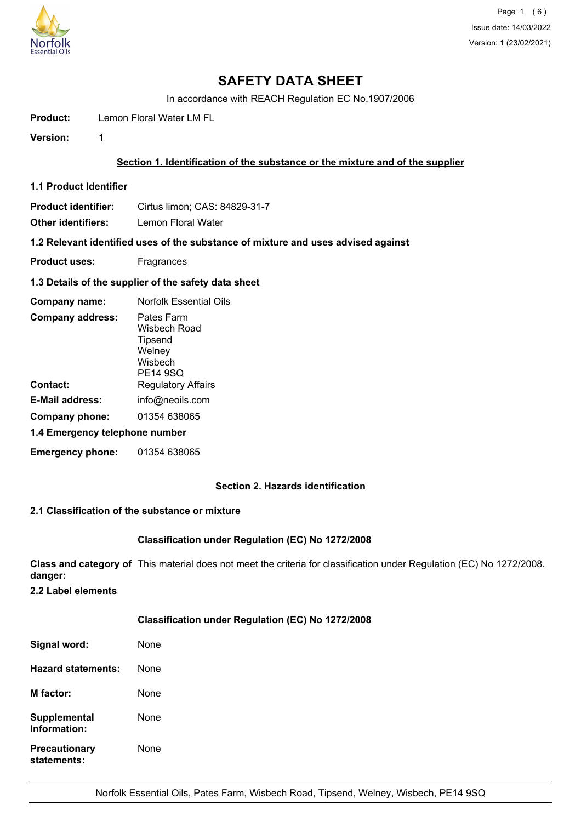

# **SAFETY DATA SHEET**

In accordance with REACH Regulation EC No.1907/2006

**Product:** Lemon Floral Water LM FL

**Version:** 1

# **Section 1. Identification of the substance or the mixture and of the supplier**

**1.1 Product Identifier**

Product identifier: Cirtus limon; CAS: 84829-31-7

**Other identifiers:** Lemon Floral Water

**1.2 Relevant identified uses of the substance of mixture and uses advised against**

**Product uses:** Fragrances

#### **1.3 Details of the supplier of the safety data sheet**

| Company name:                  | <b>Norfolk Essential Oils</b>                                          |  |
|--------------------------------|------------------------------------------------------------------------|--|
| <b>Company address:</b>        | Pates Farm<br>Wisbech Road<br>Tipsend<br>Welney<br>Wisbech<br>PE14 9SQ |  |
| Contact:                       | <b>Regulatory Affairs</b>                                              |  |
| E-Mail address:                | info@neoils.com                                                        |  |
| Company phone:                 | 01354 638065                                                           |  |
| 1.4 Emergency telephone number |                                                                        |  |
| <b>Emergency phone:</b>        | 01354 638065                                                           |  |

### **Section 2. Hazards identification**

#### **2.1 Classification of the substance or mixture**

#### **Classification under Regulation (EC) No 1272/2008**

**Class and category of** This material does not meet the criteria for classification under Regulation (EC) No 1272/2008. **danger:**

**2.2 Label elements**

## **Classification under Regulation (EC) No 1272/2008**

| Signal word:                        | None |
|-------------------------------------|------|
| Hazard statements:                  | None |
| <b>M</b> factor:                    | None |
| Supplemental<br>Information:        | None |
| <b>Precautionary</b><br>statements: | None |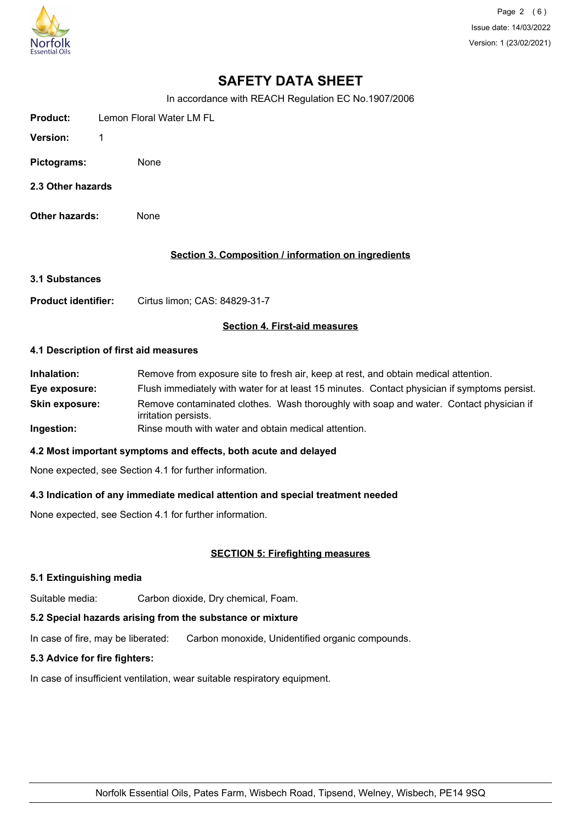

Page 2 (6) Issue date: 14/03/2022 Version: 1 (23/02/2021)

# **SAFETY DATA SHEET**

In accordance with REACH Regulation EC No.1907/2006

| Product:    | Lemon Floral Water LM FL |  |
|-------------|--------------------------|--|
| Version:    |                          |  |
| Pictograms: | None                     |  |

- **2.3 Other hazards**
- **Other hazards:** None

## **Section 3. Composition / information on ingredients**

**3.1 Substances**

**Product identifier:** Cirtus limon; CAS: 84829-31-7

## **Section 4. First-aid measures**

#### **4.1 Description of first aid measures**

| Inhalation:           | Remove from exposure site to fresh air, keep at rest, and obtain medical attention.                            |
|-----------------------|----------------------------------------------------------------------------------------------------------------|
| Eye exposure:         | Flush immediately with water for at least 15 minutes. Contact physician if symptoms persist.                   |
| <b>Skin exposure:</b> | Remove contaminated clothes. Wash thoroughly with soap and water. Contact physician if<br>irritation persists. |
| Ingestion:            | Rinse mouth with water and obtain medical attention.                                                           |

#### **4.2 Most important symptoms and effects, both acute and delayed**

None expected, see Section 4.1 for further information.

#### **4.3 Indication of any immediate medical attention and special treatment needed**

None expected, see Section 4.1 for further information.

# **SECTION 5: Firefighting measures**

#### **5.1 Extinguishing media**

Suitable media: Carbon dioxide, Dry chemical, Foam.

# **5.2 Special hazards arising from the substance or mixture**

In case of fire, may be liberated: Carbon monoxide, Unidentified organic compounds.

## **5.3 Advice for fire fighters:**

In case of insufficient ventilation, wear suitable respiratory equipment.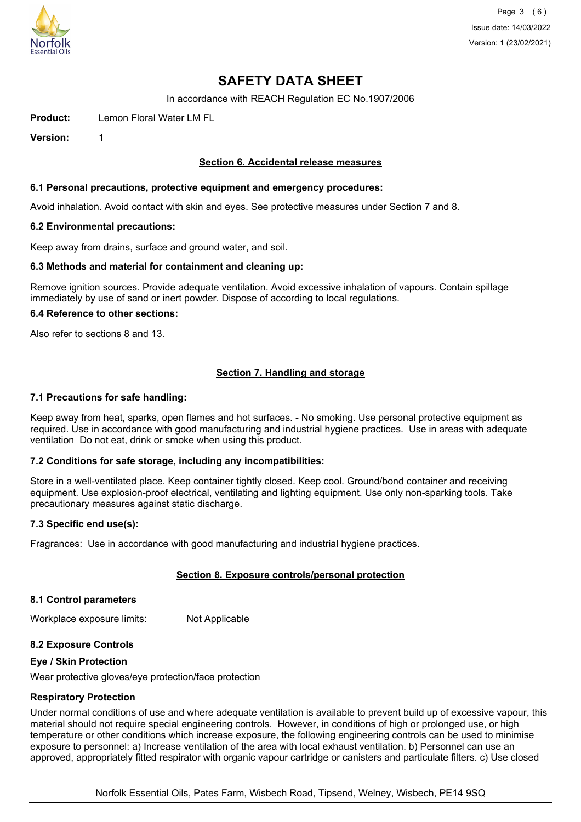

Page 3 (6) Issue date: 14/03/2022 Version: 1 (23/02/2021)

# **SAFETY DATA SHEET**

In accordance with REACH Regulation EC No.1907/2006

**Product:** Lemon Floral Water LM FL

**Version:** 1

## **Section 6. Accidental release measures**

#### **6.1 Personal precautions, protective equipment and emergency procedures:**

Avoid inhalation. Avoid contact with skin and eyes. See protective measures under Section 7 and 8.

#### **6.2 Environmental precautions:**

Keep away from drains, surface and ground water, and soil.

#### **6.3 Methods and material for containment and cleaning up:**

Remove ignition sources. Provide adequate ventilation. Avoid excessive inhalation of vapours. Contain spillage immediately by use of sand or inert powder. Dispose of according to local regulations.

#### **6.4 Reference to other sections:**

Also refer to sections 8 and 13.

# **Section 7. Handling and storage**

#### **7.1 Precautions for safe handling:**

Keep away from heat, sparks, open flames and hot surfaces. - No smoking. Use personal protective equipment as required. Use in accordance with good manufacturing and industrial hygiene practices. Use in areas with adequate ventilation Do not eat, drink or smoke when using this product.

# **7.2 Conditions for safe storage, including any incompatibilities:**

Store in a well-ventilated place. Keep container tightly closed. Keep cool. Ground/bond container and receiving equipment. Use explosion-proof electrical, ventilating and lighting equipment. Use only non-sparking tools. Take precautionary measures against static discharge.

#### **7.3 Specific end use(s):**

Fragrances: Use in accordance with good manufacturing and industrial hygiene practices.

# **Section 8. Exposure controls/personal protection**

#### **8.1 Control parameters**

Workplace exposure limits: Not Applicable

# **8.2 Exposure Controls**

#### **Eye / Skin Protection**

Wear protective gloves/eye protection/face protection

#### **Respiratory Protection**

Under normal conditions of use and where adequate ventilation is available to prevent build up of excessive vapour, this material should not require special engineering controls. However, in conditions of high or prolonged use, or high temperature or other conditions which increase exposure, the following engineering controls can be used to minimise exposure to personnel: a) Increase ventilation of the area with local exhaust ventilation. b) Personnel can use an approved, appropriately fitted respirator with organic vapour cartridge or canisters and particulate filters. c) Use closed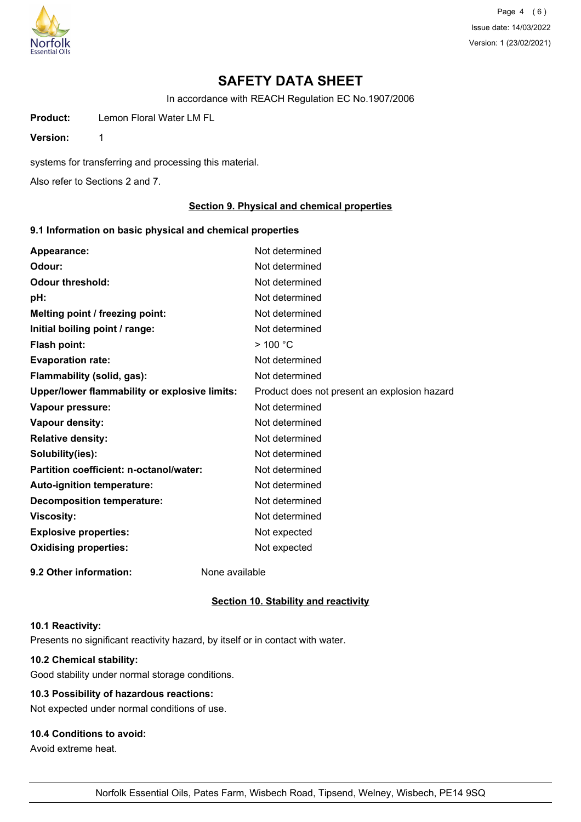

Page 4 (6) Issue date: 14/03/2022 Version: 1 (23/02/2021)

# **SAFETY DATA SHEET**

In accordance with REACH Regulation EC No.1907/2006

**Product:** Lemon Floral Water LM FL

**Version:** 1

systems for transferring and processing this material.

Also refer to Sections 2 and 7.

# **Section 9. Physical and chemical properties**

# **9.1 Information on basic physical and chemical properties**

| Appearance:                                   | Not determined                               |
|-----------------------------------------------|----------------------------------------------|
| Odour:                                        | Not determined                               |
| <b>Odour threshold:</b>                       | Not determined                               |
| pH:                                           | Not determined                               |
| Melting point / freezing point:               | Not determined                               |
| Initial boiling point / range:                | Not determined                               |
| <b>Flash point:</b>                           | $>$ 100 °C                                   |
| <b>Evaporation rate:</b>                      | Not determined                               |
| Flammability (solid, gas):                    | Not determined                               |
| Upper/lower flammability or explosive limits: | Product does not present an explosion hazard |
| Vapour pressure:                              | Not determined                               |
| Vapour density:                               | Not determined                               |
| <b>Relative density:</b>                      | Not determined                               |
| Solubility(ies):                              | Not determined                               |
| Partition coefficient: n-octanol/water:       | Not determined                               |
| <b>Auto-ignition temperature:</b>             | Not determined                               |
| <b>Decomposition temperature:</b>             | Not determined                               |
| <b>Viscosity:</b>                             | Not determined                               |
| <b>Explosive properties:</b>                  | Not expected                                 |
| <b>Oxidising properties:</b>                  | Not expected                                 |
| 9.2 Other information:                        | None available                               |

#### **Section 10. Stability and reactivity**

#### **10.1 Reactivity:**

Presents no significant reactivity hazard, by itself or in contact with water.

# **10.2 Chemical stability:**

Good stability under normal storage conditions.

# **10.3 Possibility of hazardous reactions:**

Not expected under normal conditions of use.

# **10.4 Conditions to avoid:**

Avoid extreme heat.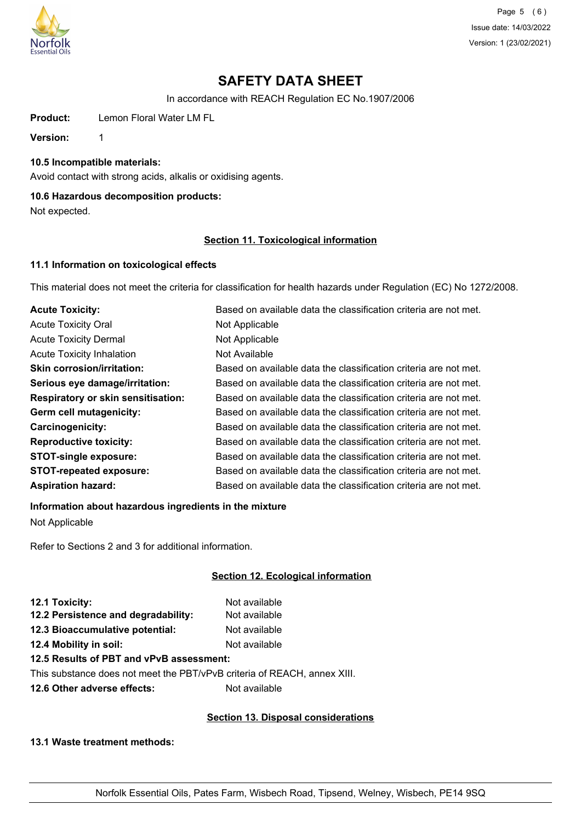

Page 5 (6) Issue date: 14/03/2022 Version: 1 (23/02/2021)

# **SAFETY DATA SHEET**

In accordance with REACH Regulation EC No.1907/2006

**Product:** Lemon Floral Water LM FL

**Version:** 1

## **10.5 Incompatible materials:**

Avoid contact with strong acids, alkalis or oxidising agents.

# **10.6 Hazardous decomposition products:**

Not expected.

# **Section 11. Toxicological information**

# **11.1 Information on toxicological effects**

This material does not meet the criteria for classification for health hazards under Regulation (EC) No 1272/2008.

| <b>Acute Toxicity:</b>                    | Based on available data the classification criteria are not met. |
|-------------------------------------------|------------------------------------------------------------------|
| <b>Acute Toxicity Oral</b>                | Not Applicable                                                   |
| <b>Acute Toxicity Dermal</b>              | Not Applicable                                                   |
| <b>Acute Toxicity Inhalation</b>          | Not Available                                                    |
| <b>Skin corrosion/irritation:</b>         | Based on available data the classification criteria are not met. |
| Serious eye damage/irritation:            | Based on available data the classification criteria are not met. |
| <b>Respiratory or skin sensitisation:</b> | Based on available data the classification criteria are not met. |
| Germ cell mutagenicity:                   | Based on available data the classification criteria are not met. |
| <b>Carcinogenicity:</b>                   | Based on available data the classification criteria are not met. |
| <b>Reproductive toxicity:</b>             | Based on available data the classification criteria are not met. |
| <b>STOT-single exposure:</b>              | Based on available data the classification criteria are not met. |
| <b>STOT-repeated exposure:</b>            | Based on available data the classification criteria are not met. |
| <b>Aspiration hazard:</b>                 | Based on available data the classification criteria are not met. |

# **Information about hazardous ingredients in the mixture**

Not Applicable

Refer to Sections 2 and 3 for additional information.

# **Section 12. Ecological information**

| 12.1 Toxicity:                      | Not available |
|-------------------------------------|---------------|
| 12.2 Persistence and degradability: | Not available |
| 12.3 Bioaccumulative potential:     | Not available |
| 12.4 Mobility in soil:              | Not available |
|                                     |               |

# **12.5 Results of PBT and vPvB assessment:**

This substance does not meet the PBT/vPvB criteria of REACH, annex XIII.

**12.6 Other adverse effects:** Not available

# **Section 13. Disposal considerations**

**13.1 Waste treatment methods:**